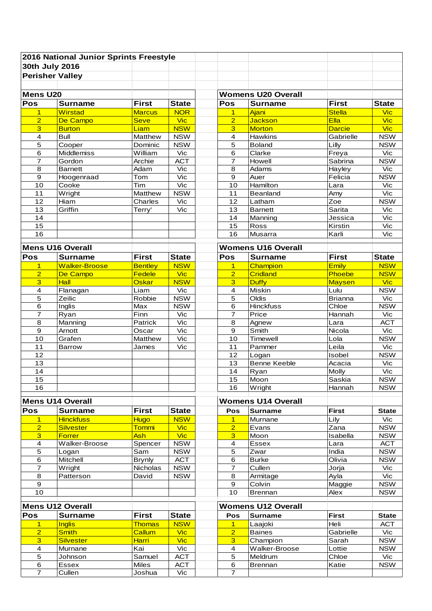|                         | 2016 National Junior Sprints Freestyle |                  |              |                         |                           |                |                         |
|-------------------------|----------------------------------------|------------------|--------------|-------------------------|---------------------------|----------------|-------------------------|
| 30th July 2016          |                                        |                  |              |                         |                           |                |                         |
| <b>Perisher Valley</b>  |                                        |                  |              |                         |                           |                |                         |
|                         |                                        |                  |              |                         |                           |                |                         |
| Mens U20                |                                        |                  |              |                         | <b>Womens U20 Overall</b> |                |                         |
| Pos                     | <b>Surname</b>                         | <b>First</b>     | <b>State</b> | Pos                     | <b>Surname</b>            | <b>First</b>   | <b>State</b>            |
| 1                       | Wirstad                                | <b>Marcus</b>    | <b>NOR</b>   | $\mathbf 1$             | Ajani                     | <b>Stella</b>  | <b>Vic</b>              |
| $\overline{2}$          | De Campo                               | <b>Seve</b>      | <b>Vic</b>   | $\overline{2}$          | <b>Jackson</b>            | Ella           | <b>Vic</b>              |
| $\overline{3}$          | <b>Burton</b>                          | Liam             | <b>NSW</b>   | 3                       | <b>Morton</b>             | <b>Darcie</b>  | <b>Vic</b>              |
| 4                       | <b>Bull</b>                            | Matthew          | <b>NSW</b>   | $\overline{4}$          | Hawkins                   | Gabrielle      | <b>NSW</b>              |
| 5                       | Cooper                                 | Dominic          | <b>NSW</b>   | 5                       | <b>Boland</b>             | Lilly          | <b>NSW</b>              |
| 6                       | Middlemiss                             | William          | Vic          | 6                       | Clarke                    | Freya          | Vic                     |
| 7                       | Gordon                                 | Archie           | <b>ACT</b>   | $\overline{7}$          | Howell                    | Sabrina        | <b>NSW</b>              |
| 8                       | <b>Barnett</b>                         | Adam             | Vic          | 8                       | Adams                     | Hayley         | Vic                     |
| $\boldsymbol{9}$        | Hoogenraad                             | Tom              | Vic          | $\boldsymbol{9}$        | Auer                      | Felicia        | <b>NSW</b>              |
| 10                      | Cooke                                  | Tim              | Vic          | 10                      | Hamilton                  | Lara           | Vic                     |
| 11                      | Wright                                 | Matthew          | <b>NSW</b>   | 11                      | Beanland                  | Amy            | Vic                     |
| 12                      | Hiam                                   | Charles          | Vic          | 12                      | Latham                    | Zoe            | <b>NSW</b>              |
| 13                      | Griffin                                | Terry'           | Vic          | 13                      | <b>Barnett</b>            | Sarita         | Vic                     |
| 14                      |                                        |                  |              | 14                      | Manning                   | Jessica        | Vic                     |
| 15                      |                                        |                  |              | 15                      | Ross                      | Kirstin        | Vic                     |
| 16                      |                                        |                  |              | 16                      | Musarra                   | Karli          | Vic                     |
|                         |                                        |                  |              |                         |                           |                |                         |
| <b>Mens U16 Overall</b> |                                        |                  |              |                         | <b>Womens U16 Overall</b> |                |                         |
| Pos                     | <b>Surname</b>                         | <b>First</b>     | <b>State</b> | Pos                     | <b>Surname</b>            | <b>First</b>   | <b>State</b>            |
| $\mathbf{1}$            | <b>Walker-Broose</b>                   | <b>Bentley</b>   | <b>NSW</b>   | $\mathbf{1}$            | Champion                  | <b>Emily</b>   | <b>NSW</b>              |
| $\overline{2}$          | De Campo                               | Fedele           | <b>Vic</b>   | $\overline{2}$          | Cridland                  | Phoebe         | <b>NSW</b>              |
| $\overline{3}$          | Hall                                   | Oskar            | <b>NSW</b>   | $\overline{3}$          | <b>Duffy</b>              | <b>Maysen</b>  | <b>Vic</b>              |
| $\overline{4}$          | Flanagan                               | Liam             | Vic          | $\overline{4}$          | Miskin                    | Lulu           | <b>NSW</b>              |
| 5                       | Zeilic                                 | Robbie           | <b>NSW</b>   | 5                       | Oldis                     | <b>Brianna</b> | Vic                     |
| 6                       | Inglis                                 | Max              | <b>NSW</b>   | 6                       | <b>Hinckfuss</b>          | Chloe          | <b>NSW</b>              |
| 7                       | Ryan                                   | Finn             | Vic<br>Vic   | $\overline{7}$          | Price                     | Hannah         | Vic<br><b>ACT</b>       |
| 8                       | Manning                                | Patrick          | Vic          | 8                       | Agnew<br>Smith            | Lara<br>Nicola | Vic                     |
| 9<br>10                 | Arnott<br>Grafen                       | Oscar<br>Matthew | Vic          | 9<br>10                 | Timewell                  | Lola           | <b>NSW</b>              |
| 11                      | <b>Barrow</b>                          | James            | Vic          | 11                      | Pammer                    | Leila          | Vic                     |
| 12                      |                                        |                  |              | 12                      | Logan                     | Isobel         | <b>NSW</b>              |
| 13                      |                                        |                  |              | 13                      | <b>Benne Keeble</b>       | Acacia         | Vic                     |
| 14                      |                                        |                  |              | 14                      | Ryan                      | Molly          | $\overline{\text{Vic}}$ |
| 15                      |                                        |                  |              | 15                      | Moon                      | Saskia         | <b>NSW</b>              |
| 16                      |                                        |                  |              | 16                      | Wright                    | Hannah         | <b>NSW</b>              |
|                         |                                        |                  |              |                         |                           |                |                         |
| Mens U14 Overall        |                                        |                  |              |                         | <b>Womens U14 Overall</b> |                |                         |
| Pos                     | <b>Surname</b>                         | <b>First</b>     | <b>State</b> | Pos                     | <b>Surname</b>            | <b>First</b>   | <b>State</b>            |
| $\overline{1}$          | <b>Hinckfuss</b>                       | <b>Hugo</b>      | <b>NSW</b>   | $\overline{1}$          | Murnane                   | Lily           | Vic                     |
| $\overline{2}$          | <b>Silvester</b>                       | <b>Tommi</b>     | <b>Vic</b>   | $\overline{2}$          | Evans                     | Zana           | <b>NSW</b>              |
| 3                       | <b>Forrer</b>                          | Ash              | <b>Vic</b>   | 3                       | Moon                      | Isabella       | <b>NSW</b>              |
| $\boldsymbol{4}$        | Walker-Broose                          | Spencer          | <b>NSW</b>   | $\overline{\mathbf{4}}$ | <b>Essex</b>              | Lara           | <b>ACT</b>              |
| $\overline{5}$          | Logan                                  | Sam              | <b>NSW</b>   | 5                       | Zwar                      | India          | <b>NSW</b>              |
| 6                       | Mitchell                               | <b>Brynly</b>    | <b>ACT</b>   | 6                       | <b>Burke</b>              | Olivia         | <b>NSW</b>              |
| $\overline{7}$          | Wright                                 | Nicholas         | <b>NSW</b>   | $\overline{7}$          | Cullen                    | Jorja          | Vic                     |
| $\bf8$                  | Patterson                              | David            | <b>NSW</b>   | 8                       | Armitage                  | Ayla           | Vic                     |
| $\boldsymbol{9}$        |                                        |                  |              | $\boldsymbol{9}$        | Colvin                    | Maggie         | <b>NSW</b>              |
| 10                      |                                        |                  |              | 10                      | <b>Brennan</b>            | Alex           | <b>NSW</b>              |
| <b>Mens U12 Overall</b> |                                        |                  |              |                         | <b>Womens U12 Overall</b> |                |                         |
| Pos                     | <b>Surname</b>                         | <b>First</b>     | <b>State</b> | Pos                     | <b>Surname</b>            | <b>First</b>   | <b>State</b>            |
| $\mathbf{1}$            | <b>Inglis</b>                          | <b>Thomas</b>    | <b>NSW</b>   | $\overline{1}$          | Laajoki                   | Heli           | <b>ACT</b>              |
| $\overline{2}$          | <b>Smith</b>                           | Callum           | <b>Vic</b>   | $\overline{2}$          | <b>Baines</b>             | Gabrielle      | Vic                     |
| $\overline{3}$          | <b>Silvester</b>                       | Harri            | <b>Vic</b>   | 3                       | Champion                  | Sarah          | <b>NSW</b>              |
| 4                       | Murnane                                | Kai              | Vic          | 4                       | Walker-Broose             | Lottie         | <b>NSW</b>              |
| $\mathbf 5$             | Johnson                                | Samuel           | <b>ACT</b>   | $\mathbf 5$             | Meldrum                   | Chloe          | Vic                     |
| $\overline{6}$          | Essex                                  | Miles            | <b>ACT</b>   | $\,6$                   | Brennan                   | Katie          | <b>NSW</b>              |
| $\overline{7}$          | Cullen                                 | Joshua           | Vic          | $\overline{7}$          |                           |                |                         |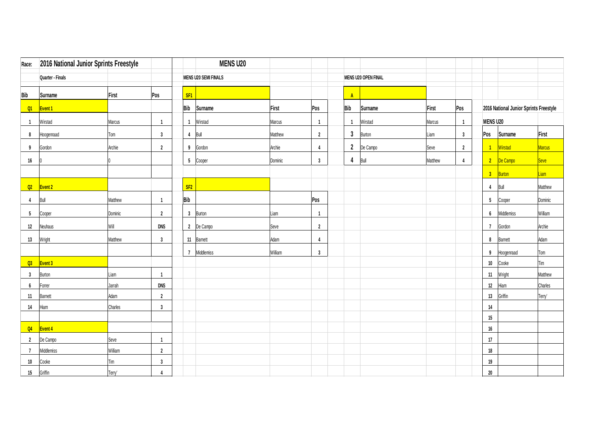| Race:                   | 2016 National Junior Sprints Freestyle |         |                |                 | <b>MENS U20</b>             |         |                |                |                            |         |                |                      |                                        |               |
|-------------------------|----------------------------------------|---------|----------------|-----------------|-----------------------------|---------|----------------|----------------|----------------------------|---------|----------------|----------------------|----------------------------------------|---------------|
|                         | Quarter - Finals                       |         |                |                 | <b>MENS U20 SEMI FINALS</b> |         |                |                | <b>MENS U20 OPEN FINAL</b> |         |                |                      |                                        |               |
| <b>Bib</b>              | <b>Surname</b>                         | First   | Pos            | SF <sub>1</sub> |                             |         |                | $\Lambda$      |                            |         |                |                      |                                        |               |
| Q1                      | Event 1                                |         |                | <b>Bib</b>      | Surname                     | First   | Pos            | Bib            | Surname                    | First   | Pos            |                      | 2016 National Junior Sprints Freestyle |               |
| - 1                     | Wirstad                                | Marcus  | -1             | $\mathbf{1}$    | Wirstad                     | Marcus  | $\mathbf{1}$   | $\overline{1}$ | Wirstad                    | Marcus  | $\overline{1}$ | <b>MENS U20</b>      |                                        |               |
| 8                       | Hoogenraad                             | Tom     | $\mathbf{3}$   |                 | 4 Bull                      | Matthew | $\overline{2}$ | $\mathbf{3}$   | Burton                     | Liam    | $\mathbf{3}$   | Pos                  | <b>Surname</b>                         | First         |
| 9                       | Gordon                                 | Archie  | $\overline{2}$ | 9               | Gordon                      | Archie  | $\overline{4}$ | $\overline{2}$ | De Campo                   | Seve    | $\overline{2}$ | $\blacktriangleleft$ | Wirstad                                | <b>Marcus</b> |
| 16                      |                                        |         |                | 5 <sub>5</sub>  | Cooper                      | Dominic | $\mathbf{3}$   | 4              | Bull                       | Matthew | $\overline{4}$ |                      | 2 De Campo                             | <b>Seve</b>   |
|                         |                                        |         |                |                 |                             |         |                |                |                            |         |                | 3 <sub>1</sub>       | Burton                                 | Liam          |
| Q2                      | Event 2                                |         |                | SF <sub>2</sub> |                             |         |                |                |                            |         |                | $\overline{4}$       | Bull                                   | Matthew       |
| 4                       | Bull                                   | Matthew | $\overline{1}$ | <b>Bib</b>      |                             |         | Pos            |                |                            |         |                | 5 <sub>5</sub>       | Cooper                                 | Dominic       |
| 5                       | Cooper                                 | Dominic | $\overline{2}$ | 3 <sup>1</sup>  | Burton                      | Liam    | $\overline{1}$ |                |                            |         |                | $6\overline{6}$      | Middlemiss                             | William       |
| 12                      | Neuhaus                                | Will    | <b>DNS</b>     | $\overline{2}$  | De Campo                    | Seve    | $\overline{2}$ |                |                            |         |                | $\overline{7}$       | Gordon                                 | Archie        |
| 13                      | Wright                                 | Matthew | $\mathbf{3}$   | 11              | Barnett                     | Adam    | $\overline{4}$ |                |                            |         |                | 8                    | <b>Barnett</b>                         | Adam          |
|                         |                                        |         |                | $\overline{7}$  | Middlemiss                  | William | $\mathbf{3}$   |                |                            |         |                | 9                    | Hoogenraad                             | Tom           |
| Q3                      | <b>Event 3</b>                         |         |                |                 |                             |         |                |                |                            |         |                | 10 <sub>1</sub>      | Cooke                                  | Tim           |
| $\overline{\mathbf{3}}$ | <b>Burton</b>                          | Liam    | $\overline{1}$ |                 |                             |         |                |                |                            |         |                | 11                   | Wright                                 | Matthew       |
| $\boldsymbol{6}$        | Forrer                                 | Jarrah  | <b>DNS</b>     |                 |                             |         |                |                |                            |         |                | 12                   | Hiam                                   | Charles       |
| 11                      | <b>Barnett</b>                         | Adam    | $\overline{2}$ |                 |                             |         |                |                |                            |         |                | 13                   | Griffin                                | Terry'        |
| 14                      | Hiam                                   | Charles | 3              |                 |                             |         |                |                |                            |         |                | 14                   |                                        |               |
|                         |                                        |         |                |                 |                             |         |                |                |                            |         |                | 15                   |                                        |               |
| Q4                      | Event 4                                |         |                |                 |                             |         |                |                |                            |         |                | 16                   |                                        |               |
| $\overline{2}$          | De Campo                               | Seve    | $\overline{1}$ |                 |                             |         |                |                |                            |         |                | 17                   |                                        |               |
| $\overline{7}$          | Middlemiss                             | William | $\overline{2}$ |                 |                             |         |                |                |                            |         |                | 18                   |                                        |               |
| 10                      | Cooke                                  | Tim     | $\mathbf{3}$   |                 |                             |         |                |                |                            |         |                | 19                   |                                        |               |
| 15                      | Griffin                                | Terry'  | $\overline{4}$ |                 |                             |         |                |                |                            |         |                | $20\,$               |                                        |               |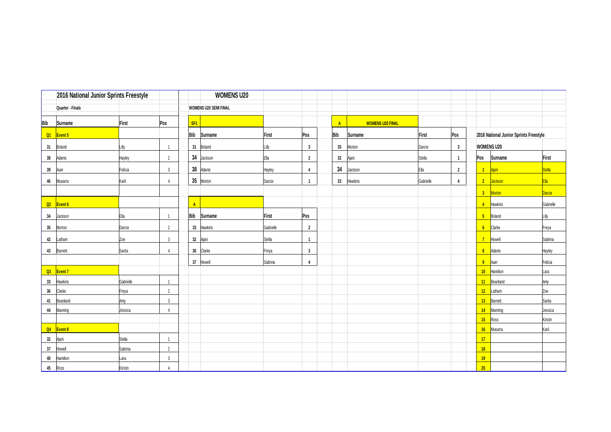|     |                    | 2016 National Junior Sprints Freestyle |                |                 | <b>WOMENS U20</b>            |           |                         |              |                         |           |                |                 |                                        |           |
|-----|--------------------|----------------------------------------|----------------|-----------------|------------------------------|-----------|-------------------------|--------------|-------------------------|-----------|----------------|-----------------|----------------------------------------|-----------|
|     | Quarter - Finals   |                                        |                |                 | <b>WOMENS U20 SEMI FINAL</b> |           |                         |              |                         |           |                |                 |                                        |           |
| Bib | Surname            | First                                  | Pos            | SF <sub>1</sub> |                              |           |                         | $\mathbf{A}$ | <b>WOMENS U20 FINAL</b> |           |                |                 |                                        |           |
| Q1  | Event 5            |                                        |                | <b>Bib</b>      | Surname                      | First     | Pos                     | <b>Bib</b>   | Surname                 | First     | Pos            |                 | 2016 National Junior Sprints Freestyle |           |
| 31  | Boland             | Lilly                                  | $\overline{1}$ |                 | 31 Boland                    | Lilly     | $\overline{\mathbf{3}}$ | 35           | Morton                  | Darcie    | 3              |                 | <b>WOMENS U20</b>                      |           |
| 38  | Adams              | <b>Hayley</b>                          | $\overline{2}$ | 34              | Jackson                      | Ella      | $\overline{2}$          | 32           | Ajani                   | Stella    | $\overline{1}$ | Pos             | Surname                                | First     |
| 39  | Auer               | Felicia                                | $\mathbf{3}$   | 38              | Adams                        | Hayley    | $\overline{4}$          | 34           | Jackson                 | Ella      | $\overline{2}$ |                 | $\blacksquare$<br>Ajani                | Stella    |
| 46  | Musarra            | Karli                                  | $\overline{4}$ |                 | 35 Morton                    | Darcie    | $\overline{1}$          | 33           | Hawkins                 | Gabrielle | $\overline{4}$ |                 | 2 Jackson                              | Ela       |
|     |                    |                                        |                |                 |                              |           |                         |              |                         |           |                |                 | 3 <sup>2</sup><br>Morton               | Darcie    |
| Q2  | Event <sub>6</sub> |                                        |                | $\Lambda$       |                              |           |                         |              |                         |           |                |                 | <b>Hawkins</b><br>$\overline{4}$       | Gabrielle |
| 34  | Jackson            | Ella                                   | $\overline{1}$ | <b>Bib</b>      | Surname                      | First     | Pos                     |              |                         |           |                |                 | 5 <sub>1</sub><br>Boland               | Lilly     |
| 35  | Morton             | Darcie                                 | $\overline{2}$ | 33              | Hawkins                      | Gabrielle | $\overline{2}$          |              |                         |           |                |                 | 6 Clarke                               | Freya     |
| 42  | Latham             | Zoe                                    | $\mathbf{3}$   |                 | 32 Ajani                     | Stella    | $\mathbf{1}$            |              |                         |           |                | $\overline{7}$  | Howell                                 | Sabrina   |
| 43  | <b>Barnett</b>     | Sarita                                 | $\overline{4}$ |                 | 36 Clarke                    | Freya     | $\overline{\mathbf{3}}$ |              |                         |           |                |                 | 8 <sup>1</sup><br>Adams                | Hayley    |
|     |                    |                                        |                |                 | 37 Howell                    | Sabrina   | $\overline{4}$          |              |                         |           |                |                 | 9<br>Auer                              | Felicia   |
| Q3  | <b>Event 7</b>     |                                        |                |                 |                              |           |                         |              |                         |           |                |                 | 10<br>Hamilton                         | Lara      |
| 33  | Hawkins            | Gabrielle                              | $\overline{1}$ |                 |                              |           |                         |              |                         |           |                |                 | 11 Beanland                            | Amy       |
| 36  | Clarke             | Freya                                  | $\overline{2}$ |                 |                              |           |                         |              |                         |           |                |                 | 12 Latham                              | Zoe       |
| 41  | Beanland           | Amy                                    | $\mathbf{3}$   |                 |                              |           |                         |              |                         |           |                |                 | 13 Barnett                             | Sarita    |
| 44  | Manning            | Jessica                                | $\overline{4}$ |                 |                              |           |                         |              |                         |           |                |                 | 14<br>Manning                          | Jessica   |
|     |                    |                                        |                |                 |                              |           |                         |              |                         |           |                |                 | 15 Ross                                | Kirstin   |
|     | Q4 Event 8         |                                        |                |                 |                              |           |                         |              |                         |           |                |                 | 16 Musarra                             | Karli     |
| 32  | Ajani              | Stella                                 | $\overline{1}$ |                 |                              |           |                         |              |                         |           |                | 17              |                                        |           |
| 37  | Howell             | Sabrina                                | $\overline{2}$ |                 |                              |           |                         |              |                         |           |                | 18              |                                        |           |
| 40  | Hamilton           | Lara                                   | $\mathbf{3}$   |                 |                              |           |                         |              |                         |           |                | 19              |                                        |           |
| 45  | Ross               | Kirstin                                | $\overline{4}$ |                 |                              |           |                         |              |                         |           |                | 20 <sub>2</sub> |                                        |           |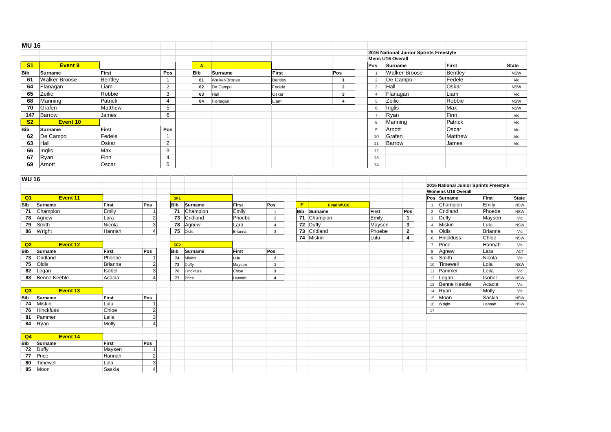| <b>MU16</b>    |               |         |                          |              |               |         |                |                |                                        |                                        |              |
|----------------|---------------|---------|--------------------------|--------------|---------------|---------|----------------|----------------|----------------------------------------|----------------------------------------|--------------|
|                |               |         |                          |              |               |         |                |                | 2016 National Junior Sprints Freestyle |                                        |              |
|                |               |         |                          |              |               |         |                |                | <b>Mens U16 Overall</b>                |                                        |              |
| S <sub>1</sub> | Event 9       |         |                          | $\mathbf{A}$ |               |         |                | Pos            | Surname                                | First                                  | <b>State</b> |
| <b>Bib</b>     | Surname       | First   | Pos                      | <b>Bib</b>   | Surname       | First   | Pos            | - 1            | Walker-Broose                          | Bentley                                | <b>NSW</b>   |
| 61             | Walker-Broose | Bentley | -1                       | 61           | Walker-Broose | Bentley |                | $\overline{2}$ | De Campo                               | Fedele                                 | Vic          |
| 64             | Flanagan      | Liam    | $\overline{2}$           | 62           | De Campo      | Fedele  | $\overline{2}$ | 3              | Hall                                   | Oskar                                  | <b>NSW</b>   |
| 65             | Zeilic        | Robbie  | 3                        | 63           | Hall          | Oskar   | 3              | $\overline{4}$ | Flanagan                               | Liam                                   | Vic          |
| 68             | Manning       | Patrick | 4                        | 64           | Flanagan      | Liam    |                | 5              | Zeilic                                 | Robbie                                 | <b>NSW</b>   |
| 70             | Grafen        | Matthew | 5                        |              |               |         |                | 6              | Inglis                                 | Max                                    | <b>NSW</b>   |
| 147            | Barrow        | James   | 6                        |              |               |         |                | $\overline{7}$ | Ryan                                   | Finn                                   | Vic          |
| S <sub>2</sub> | Event 10      |         |                          |              |               |         |                | 8              | Manning                                | Patrick                                | Vic          |
| Bib            | Surname       | First   | Pos                      |              |               |         |                | 9              | Arnott                                 | Oscar                                  | Vic          |
| 62             | De Campo      | Fedele  | $\overline{\phantom{a}}$ |              |               |         |                | 10             | Grafen                                 | Matthew                                | Vic          |
| 63             | Hall          | Oskar   | $\overline{2}$           |              |               |         |                | 11             | Barrow                                 | James                                  | Vic          |
| 66             | Inglis        | Max     | 3                        |              |               |         |                | 12             |                                        |                                        |              |
| 67             | Ryan          | Finn    | $\overline{4}$           |              |               |         |                | 13             |                                        |                                        |              |
| 69             | Arnott        | Oscar   | 5                        |              |               |         |                | 14             |                                        |                                        |              |
|                |               |         |                          |              |               |         |                |                |                                        |                                        |              |
| <b>WU16</b>    |               |         |                          |              |               |         |                |                |                                        |                                        |              |
|                |               |         |                          |              |               |         |                |                |                                        | 2016 National Junior Sprints Freestyle |              |

| <b>WU 16</b>   |                     |         |                           |                 |                  |                |                         |            |            |        |              |                |                                        |                |            |
|----------------|---------------------|---------|---------------------------|-----------------|------------------|----------------|-------------------------|------------|------------|--------|--------------|----------------|----------------------------------------|----------------|------------|
|                |                     |         |                           |                 |                  |                |                         |            |            |        |              |                | 2016 National Junior Sprints Freestyle |                |            |
|                |                     |         |                           |                 |                  |                |                         |            |            |        |              |                | <b>Womens U16 Overall</b>              |                |            |
| Q <sub>1</sub> | Event 11            |         |                           | SF <sub>1</sub> |                  |                |                         |            |            |        |              |                | Pos Surname                            | <b>First</b>   | State      |
| <b>Bib</b>     | Surname             | First   | Pos                       | <b>Bib</b>      | Surname          | First          | Pos                     | F          | Final WU16 |        |              |                | Champion                               | Emily          | <b>NSW</b> |
| 71             | Champion            | Emily   |                           | -71             | Champion         | Emily          | $\overline{1}$          | <b>Bib</b> | Surname    | First  | Pos          | $\overline{2}$ | Cridland                               | Phoebe         | <b>NSW</b> |
| 78             | Agnew               | Lara    | $\overline{2}$            | 73              | Cridland         | Phoebe         | $\overline{2}$          | 71         | Champion   | Emily  | $\mathbf{1}$ | 3              | Duffy                                  | Maysen         | Vic        |
| 79             | Smith               | Nicola  | 3                         | 78              | Agnew            | Lara           | $\overline{4}$          | 72         | Duffy      | Maysen | 3            | $\overline{4}$ | Miskin                                 | Lulu           | <b>NSW</b> |
| 86             | Wright              | Hannah  |                           | 75              | Oldis            | Brianna        | 3                       | 73         | Cridland   | Phoebe | $\mathbf{2}$ | 5              | Oldis                                  | <b>Brianna</b> | Vic        |
|                |                     |         |                           |                 |                  |                |                         | 74         | Miskin     | Lulu   | 4            | 6              | <b>Hinckfuss</b>                       | Chloe          | <b>NSW</b> |
| Q2             | Event 12            |         |                           | SF2             |                  |                |                         |            |            |        |              | $\overline{7}$ | Price                                  | Hannah         | Vic        |
| <b>Bib</b>     | Surname             | First   | Pos                       | <b>Bib</b>      | Surname          | First          | Pos                     |            |            |        |              | 8              | Agnew                                  | Lara           | ACT        |
| 73             | Cridland            | Phoebe  |                           | 74              | Miskin           | Lulu           | $\overline{2}$          |            |            |        |              | 9              | Smith                                  | Nicola         | Vic        |
| 75             | Oldis               | Brianna | $\overline{2}$            | 72              | Duffy            | Maysen         | $\mathbf{1}$            |            |            |        |              | 10             | Timewell                               | Lola           | <b>NSW</b> |
| 82             | Logan               | Isobel  | 3                         | 76              | <b>Hinckfuss</b> | Chloe          | 3                       |            |            |        |              | 11             | Pammer                                 | Leila          | Vic        |
| 83             | <b>Benne Keeble</b> | Acacia  | $\Delta$                  | 77              | Price            | <b>H</b> annah | $\overline{\mathbf{4}}$ |            |            |        |              | 12             | Logan                                  | Isobel         | <b>NSW</b> |
|                |                     |         |                           |                 |                  |                |                         |            |            |        |              | 13             | Benne Keeble                           | Acacia         | Vic        |
| Q3             | Event 13            |         |                           |                 |                  |                |                         |            |            |        |              | 14             | Ryan                                   | Molly          | Vic        |
| <b>Bib</b>     | Surname             | First   | Pos                       |                 |                  |                |                         |            |            |        |              | 15             | Moon                                   | Saskia         | <b>NSW</b> |
| 74             | Miskin              | Lulu    |                           |                 |                  |                |                         |            |            |        |              | 16             | Wright                                 | Hannah         | <b>NSW</b> |
| 76             | <b>Hinckfuss</b>    | Chloe   | $\overline{2}$            |                 |                  |                |                         |            |            |        |              | 17             |                                        |                |            |
| 81             | Pammer              | Leila   | 3                         |                 |                  |                |                         |            |            |        |              |                |                                        |                |            |
| 84             | Ryan                | Molly   | $\boldsymbol{\varLambda}$ |                 |                  |                |                         |            |            |        |              |                |                                        |                |            |
|                |                     |         |                           |                 |                  |                |                         |            |            |        |              |                |                                        |                |            |
| Q4             | <b>Event 14</b>     |         |                           |                 |                  |                |                         |            |            |        |              |                |                                        |                |            |
| <b>Bib</b>     | Surname             | First   | <b>Pos</b>                |                 |                  |                |                         |            |            |        |              |                |                                        |                |            |
| 72             | Duffy               | Maysen  |                           |                 |                  |                |                         |            |            |        |              |                |                                        |                |            |
| 77             | Price               | Hannah  | $\overline{2}$            |                 |                  |                |                         |            |            |        |              |                |                                        |                |            |
| 80             | Timewell            | Lola    | 3                         |                 |                  |                |                         |            |            |        |              |                |                                        |                |            |
| 85             | Moon                | Saskia  | 4                         |                 |                  |                |                         |            |            |        |              |                |                                        |                |            |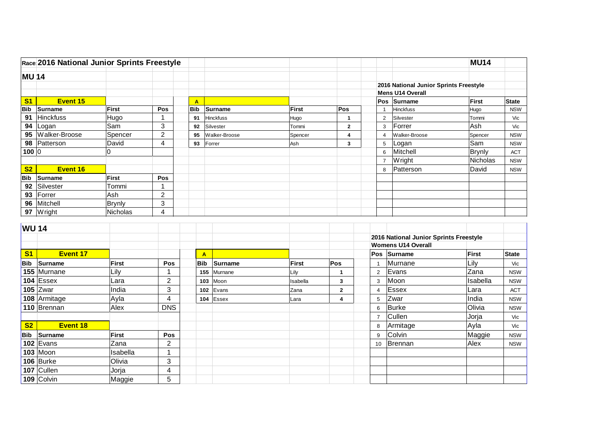|                | Race 2016 National Junior Sprints Freestyle                                                            |                                                                |                                                            |                  |                    |              |                      |                      |                                         | <b>MU14</b>                               |              |
|----------------|--------------------------------------------------------------------------------------------------------|----------------------------------------------------------------|------------------------------------------------------------|------------------|--------------------|--------------|----------------------|----------------------|-----------------------------------------|-------------------------------------------|--------------|
| <b>MU 14</b>   |                                                                                                        |                                                                |                                                            |                  |                    |              |                      |                      |                                         |                                           |              |
|                |                                                                                                        |                                                                |                                                            |                  |                    |              |                      |                      | 2016 National Junior Sprints Freestyle  |                                           |              |
|                |                                                                                                        |                                                                |                                                            |                  |                    |              |                      |                      | Mens U14 Overall                        |                                           |              |
| S <sub>1</sub> | <b>Event 15</b>                                                                                        |                                                                |                                                            | $\mathbf{A}$     |                    |              |                      |                      | Pos Surname                             | First                                     | State        |
| Bib            | Surname                                                                                                | <b>First</b>                                                   | Pos                                                        | <b>Bib</b>       | <b>Surname</b>     | <b>First</b> | Pos                  | $\overline{1}$       | <b>Hinckfuss</b>                        | Hugo                                      | <b>NSW</b>   |
| 91             | <b>Hinckfuss</b>                                                                                       | Hugo                                                           | 1                                                          | 91               | <b>Hinckfuss</b>   | Hugo         | $\mathbf{1}$         | 2                    | Silvester                               | Tommi                                     | Vic          |
|                | 94 Logan                                                                                               | Sam                                                            | 3                                                          | 92               | Silvester          | Tommi        | $\mathbf 2$          | 3                    | Forrer                                  | Ash                                       | Vic          |
|                | 95 Walker-Broose                                                                                       | Spencer                                                        | $\overline{2}$                                             | 95               | Walker-Broose      | Spencer      | 4                    | $\overline{4}$       | Walker-Broose                           | Spencer                                   | <b>NSW</b>   |
|                | 98 Patterson                                                                                           | David                                                          | 4                                                          | 93               | Forrer             | Ash          | 3                    | 5                    | Logan                                   | Sam                                       | <b>NSW</b>   |
| 100 0          |                                                                                                        | 0                                                              |                                                            |                  |                    |              |                      | 6                    | Mitchell                                | <b>Brynly</b>                             | <b>ACT</b>   |
|                |                                                                                                        |                                                                |                                                            |                  |                    |              |                      | $\overline{7}$       | Wright                                  | Nicholas                                  | <b>NSW</b>   |
| S <sub>2</sub> | Event 16                                                                                               |                                                                |                                                            |                  |                    |              |                      | 8                    | Patterson                               | David                                     | <b>NSW</b>   |
| <b>Bib</b>     | Surname                                                                                                | <b>First</b>                                                   | Pos                                                        |                  |                    |              |                      |                      |                                         |                                           |              |
|                | 92 Silvester                                                                                           | Tommi                                                          | $\mathbf{1}$                                               |                  |                    |              |                      |                      |                                         |                                           |              |
|                | 93 Forrer                                                                                              | Ash                                                            | $\overline{c}$                                             |                  |                    |              |                      |                      |                                         |                                           |              |
| 96             | Mitchell                                                                                               | <b>Brynly</b>                                                  | 3                                                          |                  |                    |              |                      |                      |                                         |                                           |              |
|                | 97 Wright                                                                                              | Nicholas                                                       | 4                                                          |                  |                    |              |                      |                      |                                         |                                           |              |
|                |                                                                                                        |                                                                |                                                            |                  |                    |              |                      |                      |                                         |                                           |              |
| <b>WU14</b>    |                                                                                                        |                                                                |                                                            |                  |                    |              |                      |                      |                                         |                                           |              |
|                |                                                                                                        |                                                                |                                                            |                  |                    |              |                      |                      | 2016 National Junior Sprints Freestyle  |                                           |              |
|                |                                                                                                        |                                                                |                                                            |                  |                    |              |                      |                      | <b>Womens U14 Overall</b>               |                                           |              |
| S <sub>1</sub> | <b>Event 17</b>                                                                                        |                                                                |                                                            | $\blacktriangle$ |                    |              |                      |                      | Pos Surname                             | First                                     | <b>State</b> |
| <b>Bib</b>     | Surname                                                                                                | First                                                          | Pos                                                        | <b>Bib</b>       | Surname            | <b>First</b> | Pos                  | $\overline{1}$       | Murnane                                 | Lily                                      | Vic          |
|                | 155 Murnane                                                                                            | Lily                                                           | 1                                                          | 155              | Murnane            | Lily         | $\blacktriangleleft$ | $\overline{2}$       | Evans                                   | Zana                                      | <b>NSW</b>   |
|                | 104 $\overline{\text{Essex}}$                                                                          | Lara                                                           | $\overline{2}$                                             |                  | Moon<br>103        | Isabella     | $\mathbf{3}$         | 3                    | Moon                                    | Isabella                                  | <b>NSW</b>   |
|                | 105 $Z_{\text{war}}$                                                                                   | India                                                          | 3                                                          |                  | Evans<br>102       | Zana         | $\mathbf{2}$         | $\overline{4}$       | Essex                                   | Lara                                      | <b>ACT</b>   |
|                | 108 Armitage                                                                                           | Ayla                                                           | $\overline{4}$                                             |                  | 104 $\left $ Essex | Lara         | 4                    | 5                    | Zwar                                    | India                                     | <b>NSW</b>   |
|                |                                                                                                        |                                                                | <b>DNS</b>                                                 |                  |                    |              |                      | 6                    | Burke                                   |                                           | <b>NSW</b>   |
|                |                                                                                                        |                                                                |                                                            |                  |                    |              |                      |                      |                                         |                                           | Vic          |
|                | Event 18                                                                                               |                                                                |                                                            |                  |                    |              |                      | 8                    |                                         |                                           | Vic          |
| <b>Bib</b>     |                                                                                                        |                                                                |                                                            |                  |                    |              |                      | 9                    |                                         |                                           | <b>NSW</b>   |
|                |                                                                                                        |                                                                |                                                            |                  |                    |              |                      |                      |                                         |                                           | <b>NSW</b>   |
|                |                                                                                                        |                                                                | $\mathbf 1$                                                |                  |                    |              |                      |                      |                                         |                                           |              |
|                |                                                                                                        |                                                                |                                                            |                  |                    |              |                      |                      |                                         |                                           |              |
|                |                                                                                                        |                                                                |                                                            |                  |                    |              |                      |                      |                                         |                                           |              |
|                |                                                                                                        |                                                                |                                                            |                  |                    |              |                      |                      |                                         |                                           |              |
| S <sub>2</sub> | 110 Brennan<br>Surname<br>102 Evans<br>$103$ Moon<br>$106$ Burke<br>107 $\vert$ Cullen<br>$109$ Colvin | Alex<br>First<br>Zana<br>Isabella<br>Olivia<br>Jorja<br>Maggie | Pos<br>$\overline{2}$<br>3<br>$\overline{\mathbf{4}}$<br>5 |                  |                    |              |                      | $\overline{7}$<br>10 | Cullen<br>Armitage<br>Colvin<br>Brennan | Olivia<br>Jorja<br>Ayla<br>Maggie<br>Alex |              |